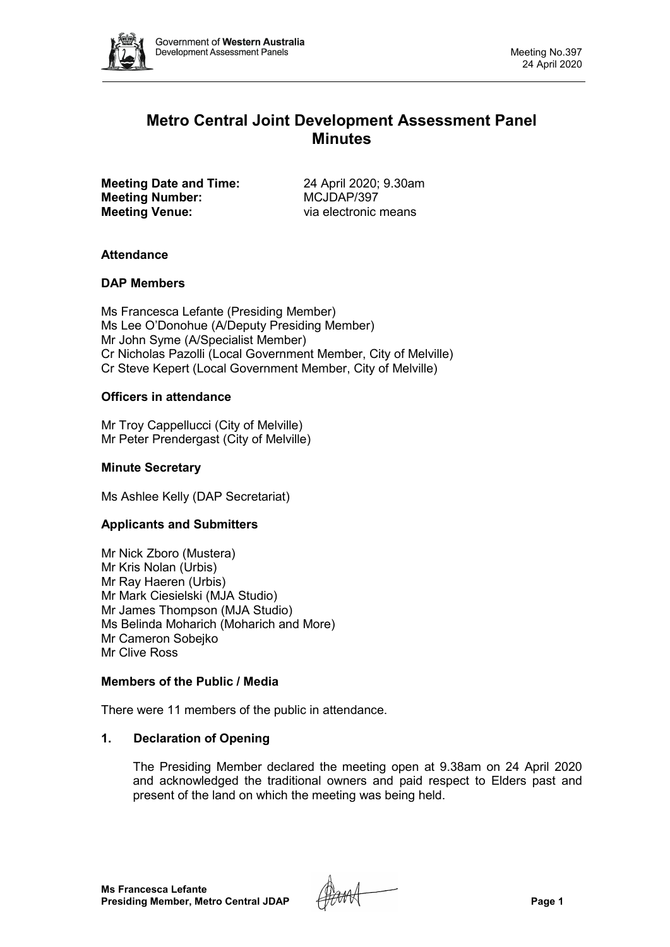

# **Metro Central Joint Development Assessment Panel Minutes**

**Meeting Date and Time:** 24 April 2020; 9.30am<br> **Meeting Number:** MCJDAP/397 **Meeting Number: Meeting Venue:** via electronic means

# **Attendance**

# **DAP Members**

Ms Francesca Lefante (Presiding Member) Ms Lee O'Donohue (A/Deputy Presiding Member) Mr John Syme (A/Specialist Member) Cr Nicholas Pazolli (Local Government Member, City of Melville) Cr Steve Kepert (Local Government Member, City of Melville)

# **Officers in attendance**

Mr Troy Cappellucci (City of Melville) Mr Peter Prendergast (City of Melville)

# **Minute Secretary**

Ms Ashlee Kelly (DAP Secretariat)

## **Applicants and Submitters**

Mr Nick Zboro (Mustera) Mr Kris Nolan (Urbis) Mr Ray Haeren (Urbis) Mr Mark Ciesielski (MJA Studio) Mr James Thompson (MJA Studio) Ms Belinda Moharich (Moharich and More) Mr Cameron Sobejko Mr Clive Ross

## **Members of the Public / Media**

There were 11 members of the public in attendance.

## **1. Declaration of Opening**

The Presiding Member declared the meeting open at 9.38am on 24 April 2020 and acknowledged the traditional owners and paid respect to Elders past and present of the land on which the meeting was being held.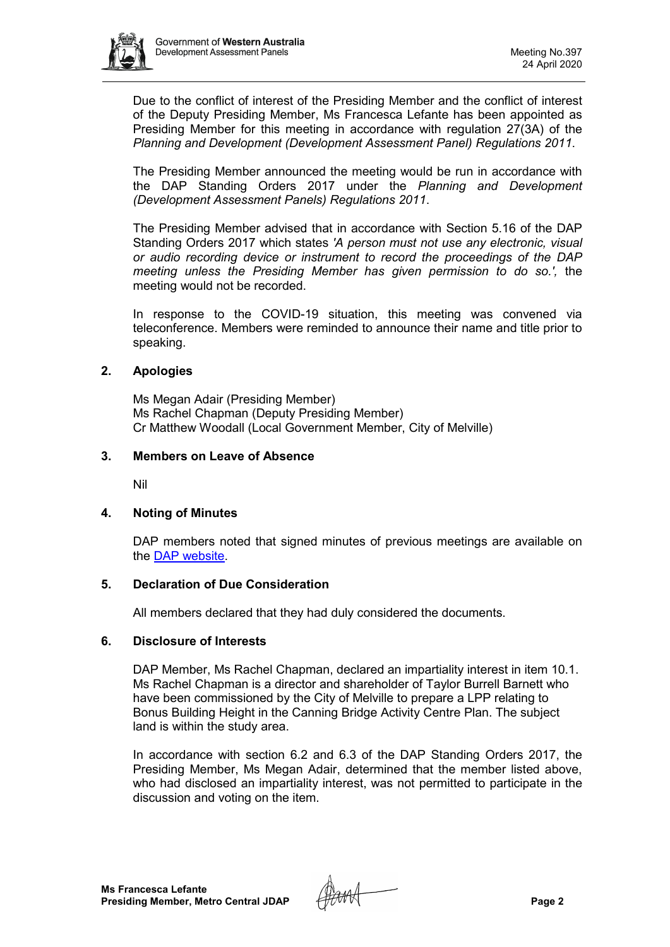

Due to the conflict of interest of the Presiding Member and the conflict of interest of the Deputy Presiding Member, Ms Francesca Lefante has been appointed as Presiding Member for this meeting in accordance with regulation 27(3A) of the *Planning and Development (Development Assessment Panel) Regulations 2011*.

The Presiding Member announced the meeting would be run in accordance with the DAP Standing Orders 2017 under the *Planning and Development (Development Assessment Panels) Regulations 2011*.

The Presiding Member advised that in accordance with Section 5.16 of the DAP Standing Orders 2017 which states *'A person must not use any electronic, visual or audio recording device or instrument to record the proceedings of the DAP meeting unless the Presiding Member has given permission to do so.',* the meeting would not be recorded.

In response to the COVID-19 situation, this meeting was convened via teleconference. Members were reminded to announce their name and title prior to speaking.

## **2. Apologies**

Ms Megan Adair (Presiding Member) Ms Rachel Chapman (Deputy Presiding Member) Cr Matthew Woodall (Local Government Member, City of Melville)

#### **3. Members on Leave of Absence**

Nil

## **4. Noting of Minutes**

DAP members noted that signed minutes of previous meetings are available on the [DAP website.](https://www.dplh.wa.gov.au/about/development-assessment-panels/daps-agendas-and-minutes)

#### **5. Declaration of Due Consideration**

All members declared that they had duly considered the documents.

#### **6. Disclosure of Interests**

DAP Member, Ms Rachel Chapman, declared an impartiality interest in item 10.1. Ms Rachel Chapman is a director and shareholder of Taylor Burrell Barnett who have been commissioned by the City of Melville to prepare a LPP relating to Bonus Building Height in the Canning Bridge Activity Centre Plan. The subject land is within the study area.

In accordance with section 6.2 and 6.3 of the DAP Standing Orders 2017, the Presiding Member, Ms Megan Adair, determined that the member listed above, who had disclosed an impartiality interest, was not permitted to participate in the discussion and voting on the item.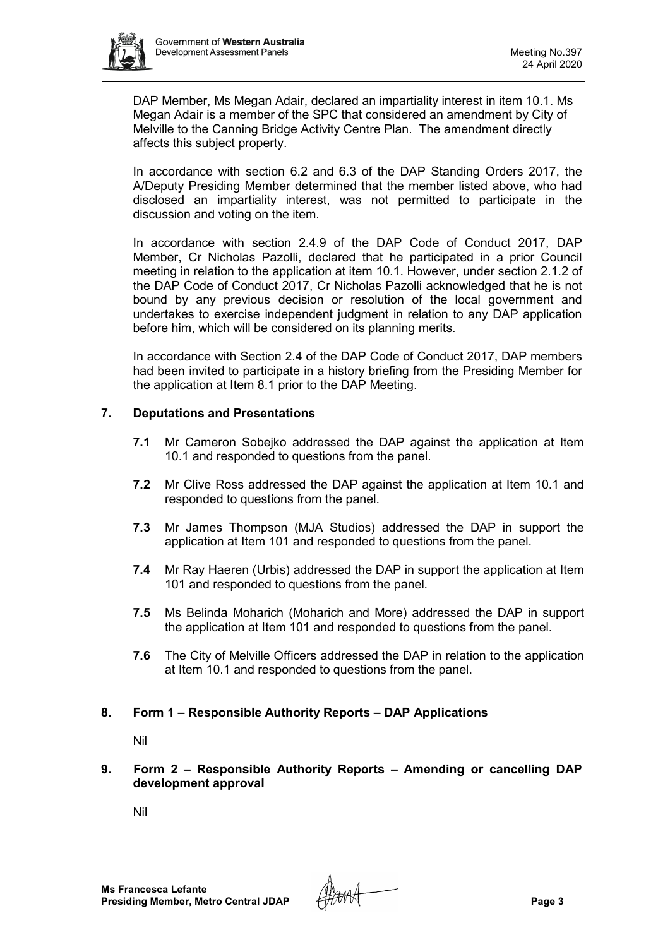

DAP Member, Ms Megan Adair, declared an impartiality interest in item 10.1. Ms Megan Adair is a member of the SPC that considered an amendment by City of Melville to the Canning Bridge Activity Centre Plan. The amendment directly affects this subject property.

In accordance with section 6.2 and 6.3 of the DAP Standing Orders 2017, the A/Deputy Presiding Member determined that the member listed above, who had disclosed an impartiality interest, was not permitted to participate in the discussion and voting on the item.

In accordance with section 2.4.9 of the DAP Code of Conduct 2017, DAP Member, Cr Nicholas Pazolli, declared that he participated in a prior Council meeting in relation to the application at item 10.1. However, under section 2.1.2 of the DAP Code of Conduct 2017, Cr Nicholas Pazolli acknowledged that he is not bound by any previous decision or resolution of the local government and undertakes to exercise independent judgment in relation to any DAP application before him, which will be considered on its planning merits.

In accordance with Section 2.4 of the DAP Code of Conduct 2017, DAP members had been invited to participate in a history briefing from the Presiding Member for the application at Item 8.1 prior to the DAP Meeting.

# **7. Deputations and Presentations**

- **7.1** Mr Cameron Sobejko addressed the DAP against the application at Item 10.1 and responded to questions from the panel.
- **7.2** Mr Clive Ross addressed the DAP against the application at Item 10.1 and responded to questions from the panel.
- **7.3** Mr James Thompson (MJA Studios) addressed the DAP in support the application at Item 101 and responded to questions from the panel.
- **7.4** Mr Ray Haeren (Urbis) addressed the DAP in support the application at Item 101 and responded to questions from the panel.
- **7.5** Ms Belinda Moharich (Moharich and More) addressed the DAP in support the application at Item 101 and responded to questions from the panel.
- **7.6** The City of Melville Officers addressed the DAP in relation to the application at Item 10.1 and responded to questions from the panel.

## **8. Form 1 – Responsible Authority Reports – DAP Applications**

Nil

**9. Form 2 – Responsible Authority Reports – Amending or cancelling DAP development approval**

Nil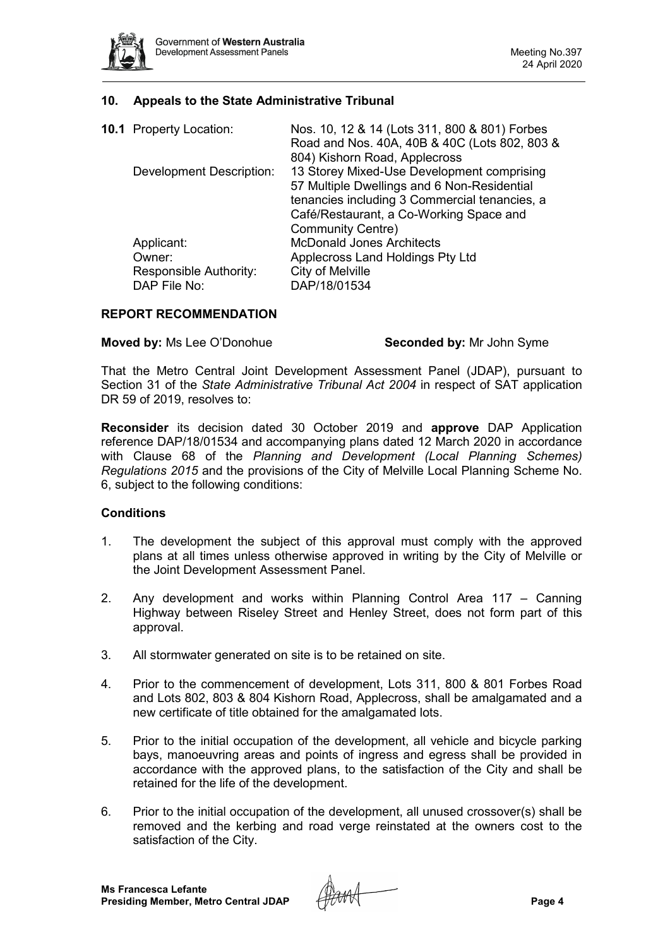

### **10. Appeals to the State Administrative Tribunal**

|  | <b>10.1</b> Property Location: | Nos. 10, 12 & 14 (Lots 311, 800 & 801) Forbes |
|--|--------------------------------|-----------------------------------------------|
|  |                                | Road and Nos. 40A, 40B & 40C (Lots 802, 803 & |
|  |                                | 804) Kishorn Road, Applecross                 |
|  | Development Description:       | 13 Storey Mixed-Use Development comprising    |
|  |                                | 57 Multiple Dwellings and 6 Non-Residential   |
|  |                                | tenancies including 3 Commercial tenancies, a |
|  |                                | Café/Restaurant, a Co-Working Space and       |
|  |                                | <b>Community Centre)</b>                      |
|  | Applicant:                     | <b>McDonald Jones Architects</b>              |
|  | Owner:                         | Applecross Land Holdings Pty Ltd              |
|  | Responsible Authority:         | City of Melville                              |
|  | DAP File No:                   | DAP/18/01534                                  |

### **REPORT RECOMMENDATION**

**Moved by:** Ms Lee O'Donohue **Seconded by:** Mr John Syme

That the Metro Central Joint Development Assessment Panel (JDAP), pursuant to Section 31 of the *State Administrative Tribunal Act 2004* in respect of SAT application DR 59 of 2019, resolves to:

**Reconsider** its decision dated 30 October 2019 and **approve** DAP Application reference DAP/18/01534 and accompanying plans dated 12 March 2020 in accordance with Clause 68 of the *Planning and Development (Local Planning Schemes) Regulations 2015* and the provisions of the City of Melville Local Planning Scheme No. 6, subject to the following conditions:

#### **Conditions**

- 1. The development the subject of this approval must comply with the approved plans at all times unless otherwise approved in writing by the City of Melville or the Joint Development Assessment Panel.
- 2. Any development and works within Planning Control Area 117 Canning Highway between Riseley Street and Henley Street, does not form part of this approval.
- 3. All stormwater generated on site is to be retained on site.
- 4. Prior to the commencement of development, Lots 311, 800 & 801 Forbes Road and Lots 802, 803 & 804 Kishorn Road, Applecross, shall be amalgamated and a new certificate of title obtained for the amalgamated lots.
- 5. Prior to the initial occupation of the development, all vehicle and bicycle parking bays, manoeuvring areas and points of ingress and egress shall be provided in accordance with the approved plans, to the satisfaction of the City and shall be retained for the life of the development.
- 6. Prior to the initial occupation of the development, all unused crossover(s) shall be removed and the kerbing and road verge reinstated at the owners cost to the satisfaction of the City.

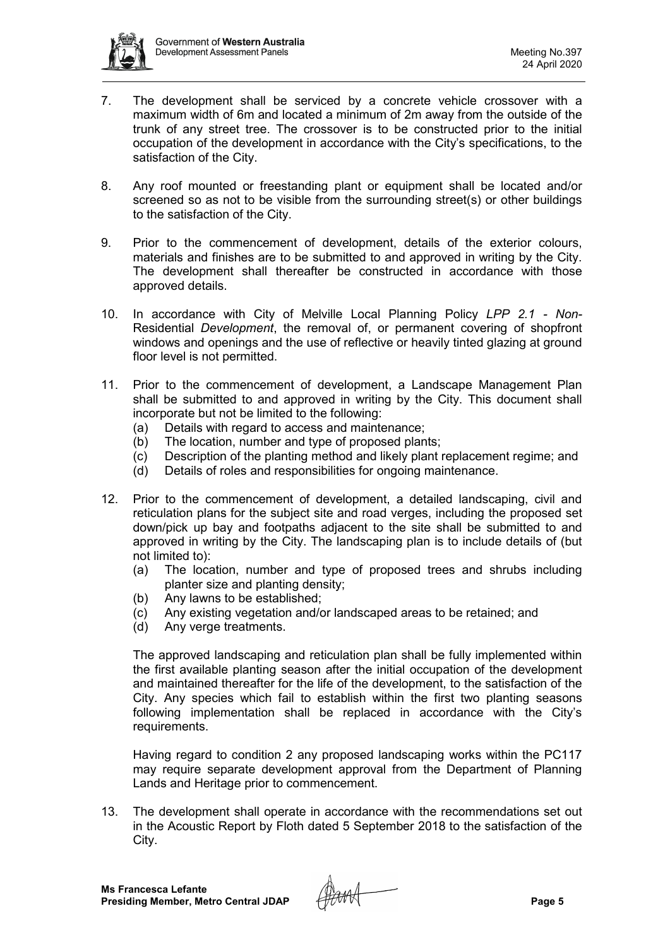

- 7. The development shall be serviced by a concrete vehicle crossover with a maximum width of 6m and located a minimum of 2m away from the outside of the trunk of any street tree. The crossover is to be constructed prior to the initial occupation of the development in accordance with the City's specifications, to the satisfaction of the City.
- 8. Any roof mounted or freestanding plant or equipment shall be located and/or screened so as not to be visible from the surrounding street(s) or other buildings to the satisfaction of the City.
- 9. Prior to the commencement of development, details of the exterior colours, materials and finishes are to be submitted to and approved in writing by the City. The development shall thereafter be constructed in accordance with those approved details.
- 10. In accordance with City of Melville Local Planning Policy *LPP 2.1 - Non-*Residential *Development*, the removal of, or permanent covering of shopfront windows and openings and the use of reflective or heavily tinted glazing at ground floor level is not permitted.
- 11. Prior to the commencement of development, a Landscape Management Plan shall be submitted to and approved in writing by the City. This document shall incorporate but not be limited to the following:
	- (a) Details with regard to access and maintenance;
	- (b) The location, number and type of proposed plants;
	- (c) Description of the planting method and likely plant replacement regime; and
	- (d) Details of roles and responsibilities for ongoing maintenance.
- 12. Prior to the commencement of development, a detailed landscaping, civil and reticulation plans for the subject site and road verges, including the proposed set down/pick up bay and footpaths adjacent to the site shall be submitted to and approved in writing by the City. The landscaping plan is to include details of (but not limited to):
	- (a) The location, number and type of proposed trees and shrubs including planter size and planting density;
	- (b) Any lawns to be established;
	- (c) Any existing vegetation and/or landscaped areas to be retained; and
	- (d) Any verge treatments.

The approved landscaping and reticulation plan shall be fully implemented within the first available planting season after the initial occupation of the development and maintained thereafter for the life of the development, to the satisfaction of the City. Any species which fail to establish within the first two planting seasons following implementation shall be replaced in accordance with the City's requirements.

Having regard to condition 2 any proposed landscaping works within the PC117 may require separate development approval from the Department of Planning Lands and Heritage prior to commencement.

13. The development shall operate in accordance with the recommendations set out in the Acoustic Report by Floth dated 5 September 2018 to the satisfaction of the City.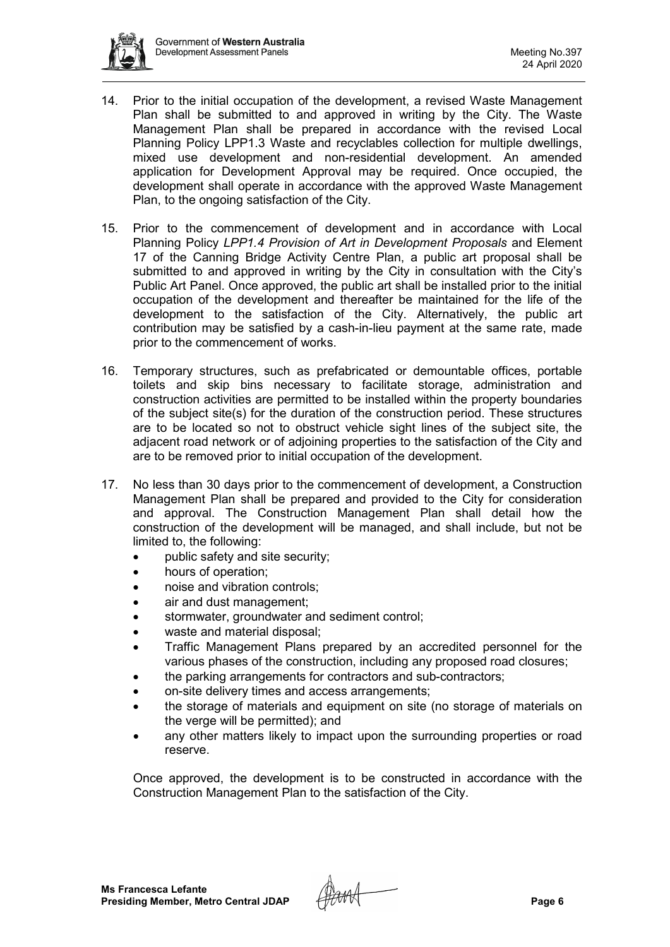

- 14. Prior to the initial occupation of the development, a revised Waste Management Plan shall be submitted to and approved in writing by the City. The Waste Management Plan shall be prepared in accordance with the revised Local Planning Policy LPP1.3 Waste and recyclables collection for multiple dwellings, mixed use development and non-residential development. An amended application for Development Approval may be required. Once occupied, the development shall operate in accordance with the approved Waste Management Plan, to the ongoing satisfaction of the City.
- 15. Prior to the commencement of development and in accordance with Local Planning Policy *LPP1.4 Provision of Art in Development Proposals* and Element 17 of the Canning Bridge Activity Centre Plan, a public art proposal shall be submitted to and approved in writing by the City in consultation with the City's Public Art Panel. Once approved, the public art shall be installed prior to the initial occupation of the development and thereafter be maintained for the life of the development to the satisfaction of the City. Alternatively, the public art contribution may be satisfied by a cash-in-lieu payment at the same rate, made prior to the commencement of works.
- 16. Temporary structures, such as prefabricated or demountable offices, portable toilets and skip bins necessary to facilitate storage, administration and construction activities are permitted to be installed within the property boundaries of the subject site(s) for the duration of the construction period. These structures are to be located so not to obstruct vehicle sight lines of the subject site, the adjacent road network or of adjoining properties to the satisfaction of the City and are to be removed prior to initial occupation of the development.
- 17. No less than 30 days prior to the commencement of development, a Construction Management Plan shall be prepared and provided to the City for consideration and approval. The Construction Management Plan shall detail how the construction of the development will be managed, and shall include, but not be limited to, the following:
	- public safety and site security;
	- hours of operation;
	- noise and vibration controls:
	- air and dust management;
	- stormwater, groundwater and sediment control;
	- waste and material disposal;
	- Traffic Management Plans prepared by an accredited personnel for the various phases of the construction, including any proposed road closures;
	- the parking arrangements for contractors and sub-contractors;
	- on-site delivery times and access arrangements;
	- the storage of materials and equipment on site (no storage of materials on the verge will be permitted); and
	- any other matters likely to impact upon the surrounding properties or road reserve.

Once approved, the development is to be constructed in accordance with the Construction Management Plan to the satisfaction of the City.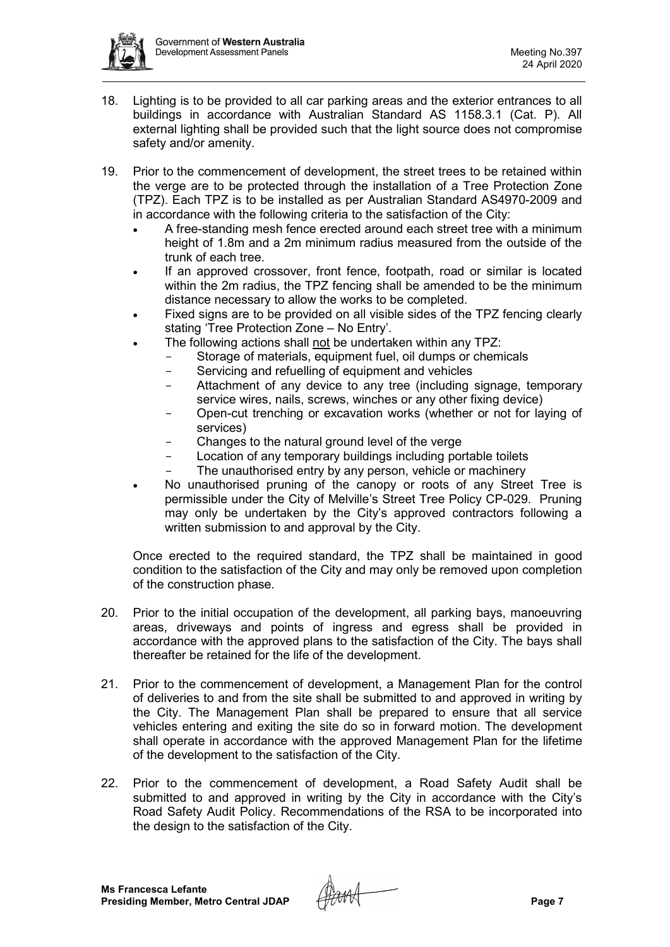

- 18. Lighting is to be provided to all car parking areas and the exterior entrances to all buildings in accordance with Australian Standard AS 1158.3.1 (Cat. P). All external lighting shall be provided such that the light source does not compromise safety and/or amenity.
- 19. Prior to the commencement of development, the street trees to be retained within the verge are to be protected through the installation of a Tree Protection Zone (TPZ). Each TPZ is to be installed as per Australian Standard AS4970-2009 and in accordance with the following criteria to the satisfaction of the City:
	- A free-standing mesh fence erected around each street tree with a minimum height of 1.8m and a 2m minimum radius measured from the outside of the trunk of each tree.
	- If an approved crossover, front fence, footpath, road or similar is located within the 2m radius, the TPZ fencing shall be amended to be the minimum distance necessary to allow the works to be completed.
	- Fixed signs are to be provided on all visible sides of the TPZ fencing clearly stating 'Tree Protection Zone – No Entry'.
	- The following actions shall not be undertaken within any TPZ:
		- Storage of materials, equipment fuel, oil dumps or chemicals<br>- Servicing and refuelling of equipment and vehicles
		- Servicing and refuelling of equipment and vehicles
		- Attachment of any device to any tree (including signage, temporary service wires, nails, screws, winches or any other fixing device)
		- Open-cut trenching or excavation works (whether or not for laying of services)
		- Changes to the natural ground level of the verge
		- Location of any temporary buildings including portable toilets
		- The unauthorised entry by any person, vehicle or machinery
	- No unauthorised pruning of the canopy or roots of any Street Tree is permissible under the City of Melville's Street Tree Policy CP-029. Pruning may only be undertaken by the City's approved contractors following a written submission to and approval by the City.

Once erected to the required standard, the TPZ shall be maintained in good condition to the satisfaction of the City and may only be removed upon completion of the construction phase.

- 20. Prior to the initial occupation of the development, all parking bays, manoeuvring areas, driveways and points of ingress and egress shall be provided in accordance with the approved plans to the satisfaction of the City. The bays shall thereafter be retained for the life of the development.
- 21. Prior to the commencement of development, a Management Plan for the control of deliveries to and from the site shall be submitted to and approved in writing by the City. The Management Plan shall be prepared to ensure that all service vehicles entering and exiting the site do so in forward motion. The development shall operate in accordance with the approved Management Plan for the lifetime of the development to the satisfaction of the City.
- 22. Prior to the commencement of development, a Road Safety Audit shall be submitted to and approved in writing by the City in accordance with the City's Road Safety Audit Policy. Recommendations of the RSA to be incorporated into the design to the satisfaction of the City.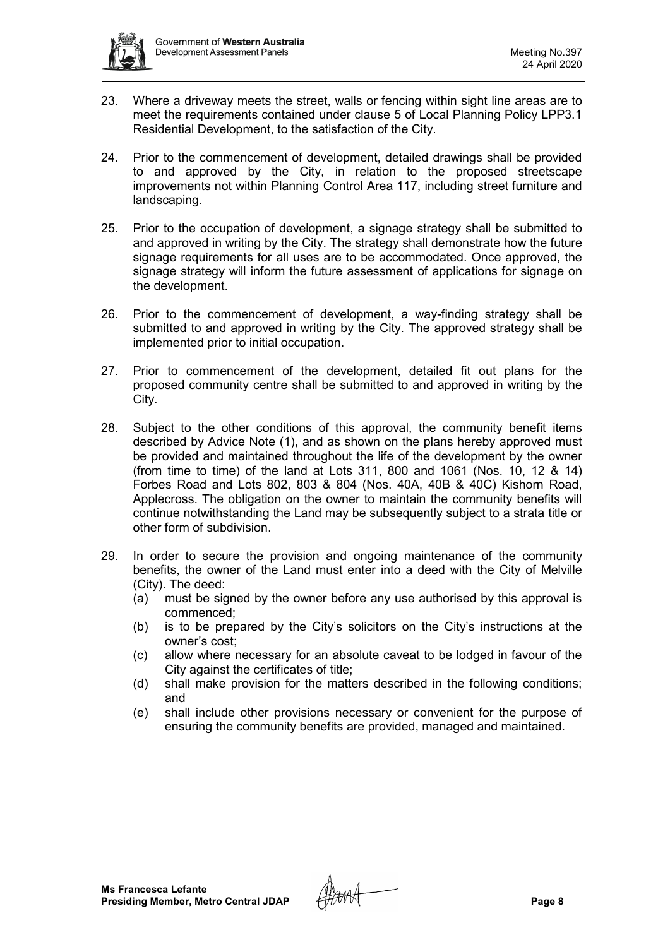

- 23. Where a driveway meets the street, walls or fencing within sight line areas are to meet the requirements contained under clause 5 of Local Planning Policy LPP3.1 Residential Development, to the satisfaction of the City.
- 24. Prior to the commencement of development, detailed drawings shall be provided to and approved by the City, in relation to the proposed streetscape improvements not within Planning Control Area 117, including street furniture and landscaping.
- 25. Prior to the occupation of development, a signage strategy shall be submitted to and approved in writing by the City. The strategy shall demonstrate how the future signage requirements for all uses are to be accommodated. Once approved, the signage strategy will inform the future assessment of applications for signage on the development.
- 26. Prior to the commencement of development, a way-finding strategy shall be submitted to and approved in writing by the City. The approved strategy shall be implemented prior to initial occupation.
- 27. Prior to commencement of the development, detailed fit out plans for the proposed community centre shall be submitted to and approved in writing by the City.
- 28. Subject to the other conditions of this approval, the community benefit items described by Advice Note (1), and as shown on the plans hereby approved must be provided and maintained throughout the life of the development by the owner (from time to time) of the land at Lots 311, 800 and 1061 (Nos. 10, 12 & 14) Forbes Road and Lots 802, 803 & 804 (Nos. 40A, 40B & 40C) Kishorn Road, Applecross. The obligation on the owner to maintain the community benefits will continue notwithstanding the Land may be subsequently subject to a strata title or other form of subdivision.
- 29. In order to secure the provision and ongoing maintenance of the community benefits, the owner of the Land must enter into a deed with the City of Melville (City). The deed:
	- (a) must be signed by the owner before any use authorised by this approval is commenced;
	- (b) is to be prepared by the City's solicitors on the City's instructions at the owner's cost;
	- (c) allow where necessary for an absolute caveat to be lodged in favour of the City against the certificates of title;
	- (d) shall make provision for the matters described in the following conditions; and
	- (e) shall include other provisions necessary or convenient for the purpose of ensuring the community benefits are provided, managed and maintained.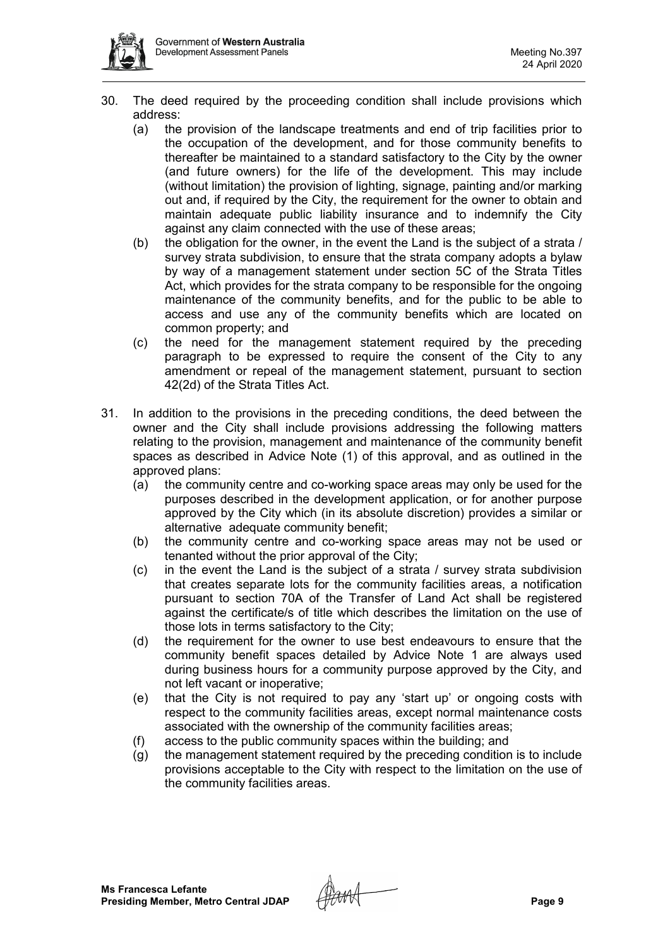- 30. The deed required by the proceeding condition shall include provisions which address:
	- (a) the provision of the landscape treatments and end of trip facilities prior to the occupation of the development, and for those community benefits to thereafter be maintained to a standard satisfactory to the City by the owner (and future owners) for the life of the development. This may include (without limitation) the provision of lighting, signage, painting and/or marking out and, if required by the City, the requirement for the owner to obtain and maintain adequate public liability insurance and to indemnify the City against any claim connected with the use of these areas;
	- (b) the obligation for the owner, in the event the Land is the subject of a strata / survey strata subdivision, to ensure that the strata company adopts a bylaw by way of a management statement under section 5C of the Strata Titles Act, which provides for the strata company to be responsible for the ongoing maintenance of the community benefits, and for the public to be able to access and use any of the community benefits which are located on common property; and
	- (c) the need for the management statement required by the preceding paragraph to be expressed to require the consent of the City to any amendment or repeal of the management statement, pursuant to section 42(2d) of the Strata Titles Act.
- 31. In addition to the provisions in the preceding conditions, the deed between the owner and the City shall include provisions addressing the following matters relating to the provision, management and maintenance of the community benefit spaces as described in Advice Note (1) of this approval, and as outlined in the approved plans:
	- (a) the community centre and co-working space areas may only be used for the purposes described in the development application, or for another purpose approved by the City which (in its absolute discretion) provides a similar or alternative adequate community benefit;
	- (b) the community centre and co-working space areas may not be used or tenanted without the prior approval of the City;
	- (c) in the event the Land is the subject of a strata / survey strata subdivision that creates separate lots for the community facilities areas, a notification pursuant to section 70A of the Transfer of Land Act shall be registered against the certificate/s of title which describes the limitation on the use of those lots in terms satisfactory to the City;
	- (d) the requirement for the owner to use best endeavours to ensure that the community benefit spaces detailed by Advice Note 1 are always used during business hours for a community purpose approved by the City, and not left vacant or inoperative;
	- (e) that the City is not required to pay any 'start up' or ongoing costs with respect to the community facilities areas, except normal maintenance costs associated with the ownership of the community facilities areas;
	- (f) access to the public community spaces within the building; and
	- (g) the management statement required by the preceding condition is to include provisions acceptable to the City with respect to the limitation on the use of the community facilities areas.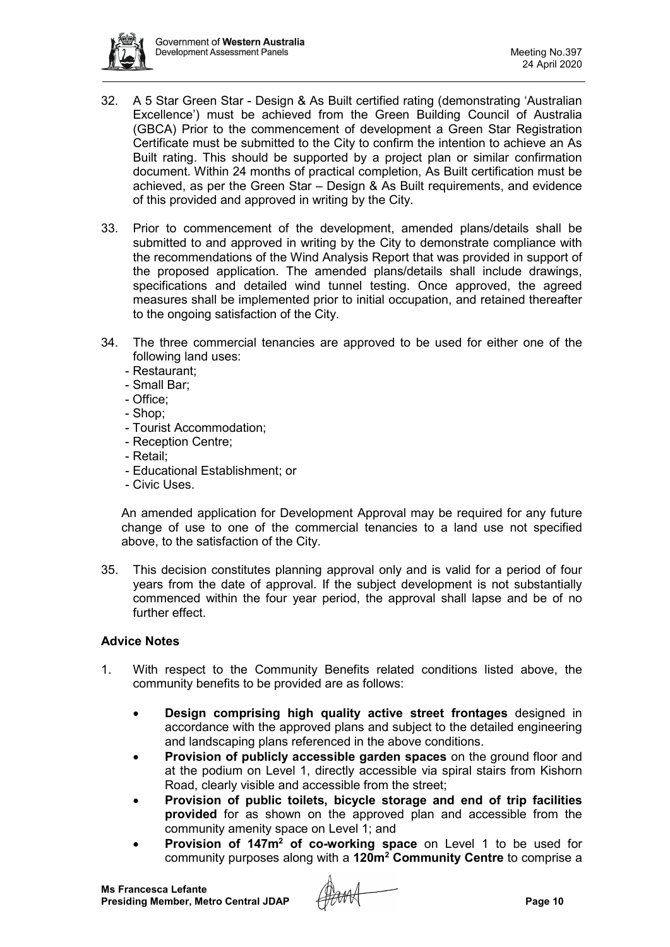

- 32. A 5 Star Green Star Design & As Built certified rating (demonstrating 'Australian Excellence') must be achieved from the Green Building Council of Australia (GBCA) Prior to the commencement of development a Green Star Registration Certificate must be submitted to the City to confirm the intention to achieve an As Built rating. This should be supported by a project plan or similar confirmation document. Within 24 months of practical completion, As Built certification must be achieved, as per the Green Star – Design & As Built requirements, and evidence of this provided and approved in writing by the City.
- 33. Prior to commencement of the development, amended plans/details shall be submitted to and approved in writing by the City to demonstrate compliance with the recommendations of the Wind Analysis Report that was provided in support of the proposed application. The amended plans/details shall include drawings, specifications and detailed wind tunnel testing. Once approved, the agreed measures shall be implemented prior to initial occupation, and retained thereafter to the ongoing satisfaction of the City.
- 34. The three commercial tenancies are approved to be used for either one of the following land uses:
	- Restaurant;
	- Small Bar;
	- Office;
	- Shop;
	- Tourist Accommodation;
	- Reception Centre;
	- Retail;
	- Educational Establishment; or
	- Civic Uses.

An amended application for Development Approval may be required for any future change of use to one of the commercial tenancies to a land use not specified above, to the satisfaction of the City.

35. This decision constitutes planning approval only and is valid for a period of four years from the date of approval. If the subject development is not substantially commenced within the four year period, the approval shall lapse and be of no further effect.

## **Advice Notes**

- 1. With respect to the Community Benefits related conditions listed above, the community benefits to be provided are as follows:
	- **Design comprising high quality active street frontages** designed in accordance with the approved plans and subject to the detailed engineering and landscaping plans referenced in the above conditions.
	- **Provision of publicly accessible garden spaces** on the ground floor and at the podium on Level 1, directly accessible via spiral stairs from Kishorn Road, clearly visible and accessible from the street;
	- **Provision of public toilets, bicycle storage and end of trip facilities provided** for as shown on the approved plan and accessible from the community amenity space on Level 1; and
	- **Provision of 147m2 of co-working space** on Level 1 to be used for community purposes along with a **120m2 Community Centre** to comprise a

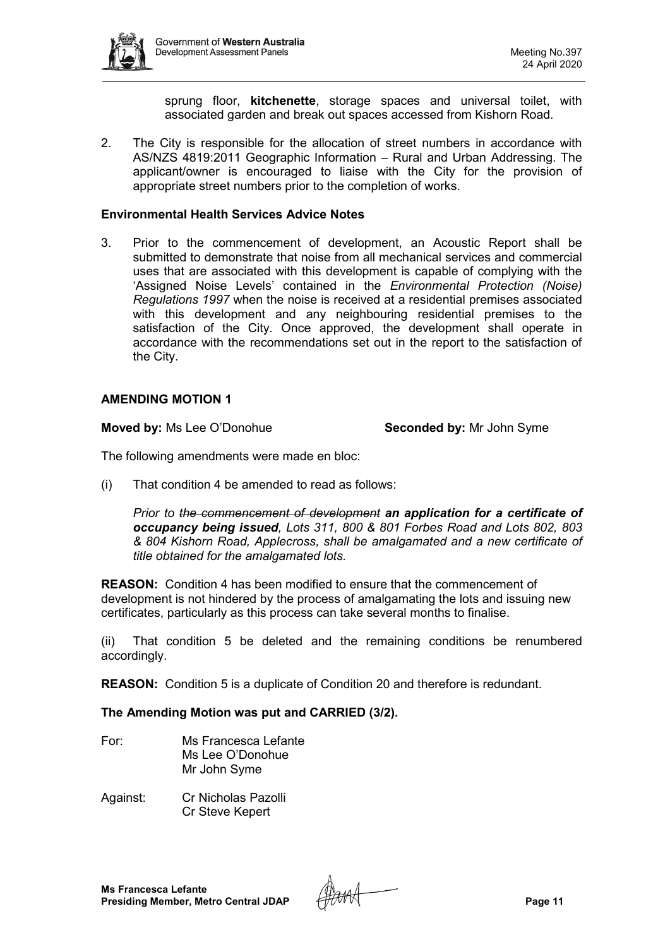

sprung floor, **kitchenette**, storage spaces and universal toilet, with associated garden and break out spaces accessed from Kishorn Road.

2. The City is responsible for the allocation of street numbers in accordance with AS/NZS 4819:2011 Geographic Information – Rural and Urban Addressing. The applicant/owner is encouraged to liaise with the City for the provision of appropriate street numbers prior to the completion of works.

#### **Environmental Health Services Advice Notes**

3. Prior to the commencement of development, an Acoustic Report shall be submitted to demonstrate that noise from all mechanical services and commercial uses that are associated with this development is capable of complying with the 'Assigned Noise Levels' contained in the *Environmental Protection (Noise) Regulations 1997* when the noise is received at a residential premises associated with this development and any neighbouring residential premises to the satisfaction of the City. Once approved, the development shall operate in accordance with the recommendations set out in the report to the satisfaction of the City.

#### **AMENDING MOTION 1**

**Moved by:** Ms Lee O'Donohue **Seconded by:** Mr John Syme

The following amendments were made en bloc:

(i) That condition 4 be amended to read as follows:

*Prior to the commencement of development an application for a certificate of occupancy being issued, Lots 311, 800 & 801 Forbes Road and Lots 802, 803 & 804 Kishorn Road, Applecross, shall be amalgamated and a new certificate of title obtained for the amalgamated lots.*

**REASON:** Condition 4 has been modified to ensure that the commencement of development is not hindered by the process of amalgamating the lots and issuing new certificates, particularly as this process can take several months to finalise.

(ii) That condition 5 be deleted and the remaining conditions be renumbered accordingly.

**REASON:** Condition 5 is a duplicate of Condition 20 and therefore is redundant.

#### **The Amending Motion was put and CARRIED (3/2).**

- For: Ms Francesca Lefante Ms Lee O'Donohue Mr John Syme
- Against: Cr Nicholas Pazolli Cr Steve Kepert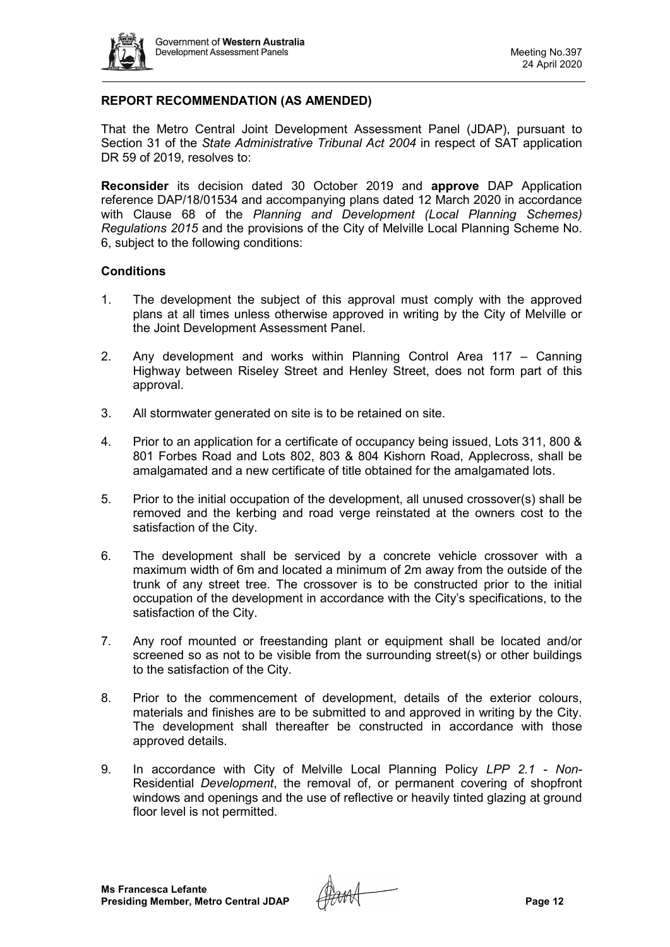

# **REPORT RECOMMENDATION (AS AMENDED)**

That the Metro Central Joint Development Assessment Panel (JDAP), pursuant to Section 31 of the *State Administrative Tribunal Act 2004* in respect of SAT application DR 59 of 2019, resolves to:

**Reconsider** its decision dated 30 October 2019 and **approve** DAP Application reference DAP/18/01534 and accompanying plans dated 12 March 2020 in accordance with Clause 68 of the *Planning and Development (Local Planning Schemes) Regulations 2015* and the provisions of the City of Melville Local Planning Scheme No. 6, subject to the following conditions:

#### **Conditions**

- 1. The development the subject of this approval must comply with the approved plans at all times unless otherwise approved in writing by the City of Melville or the Joint Development Assessment Panel.
- 2. Any development and works within Planning Control Area 117 Canning Highway between Riseley Street and Henley Street, does not form part of this approval.
- 3. All stormwater generated on site is to be retained on site.
- 4. Prior to an application for a certificate of occupancy being issued, Lots 311, 800 & 801 Forbes Road and Lots 802, 803 & 804 Kishorn Road, Applecross, shall be amalgamated and a new certificate of title obtained for the amalgamated lots.
- 5. Prior to the initial occupation of the development, all unused crossover(s) shall be removed and the kerbing and road verge reinstated at the owners cost to the satisfaction of the City.
- 6. The development shall be serviced by a concrete vehicle crossover with a maximum width of 6m and located a minimum of 2m away from the outside of the trunk of any street tree. The crossover is to be constructed prior to the initial occupation of the development in accordance with the City's specifications, to the satisfaction of the City.
- 7. Any roof mounted or freestanding plant or equipment shall be located and/or screened so as not to be visible from the surrounding street(s) or other buildings to the satisfaction of the City.
- 8. Prior to the commencement of development, details of the exterior colours, materials and finishes are to be submitted to and approved in writing by the City. The development shall thereafter be constructed in accordance with those approved details.
- 9. In accordance with City of Melville Local Planning Policy *LPP 2.1 - Non-*Residential *Development*, the removal of, or permanent covering of shopfront windows and openings and the use of reflective or heavily tinted glazing at ground floor level is not permitted.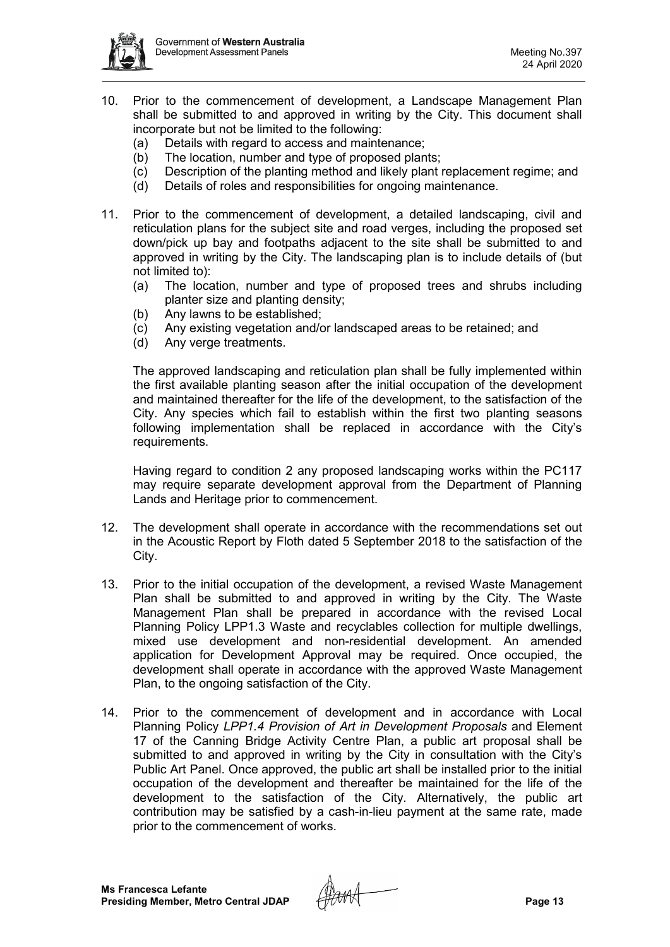

- 10. Prior to the commencement of development, a Landscape Management Plan shall be submitted to and approved in writing by the City. This document shall incorporate but not be limited to the following:
	- (a) Details with regard to access and maintenance;
	- (b) The location, number and type of proposed plants;
	- (c) Description of the planting method and likely plant replacement regime; and
	- (d) Details of roles and responsibilities for ongoing maintenance.
- 11. Prior to the commencement of development, a detailed landscaping, civil and reticulation plans for the subject site and road verges, including the proposed set down/pick up bay and footpaths adjacent to the site shall be submitted to and approved in writing by the City. The landscaping plan is to include details of (but not limited to):
	- (a) The location, number and type of proposed trees and shrubs including planter size and planting density;
	- (b) Any lawns to be established;
	- (c) Any existing vegetation and/or landscaped areas to be retained; and
	- (d) Any verge treatments.

The approved landscaping and reticulation plan shall be fully implemented within the first available planting season after the initial occupation of the development and maintained thereafter for the life of the development, to the satisfaction of the City. Any species which fail to establish within the first two planting seasons following implementation shall be replaced in accordance with the City's requirements.

Having regard to condition 2 any proposed landscaping works within the PC117 may require separate development approval from the Department of Planning Lands and Heritage prior to commencement.

- 12. The development shall operate in accordance with the recommendations set out in the Acoustic Report by Floth dated 5 September 2018 to the satisfaction of the City.
- 13. Prior to the initial occupation of the development, a revised Waste Management Plan shall be submitted to and approved in writing by the City. The Waste Management Plan shall be prepared in accordance with the revised Local Planning Policy LPP1.3 Waste and recyclables collection for multiple dwellings, mixed use development and non-residential development. An amended application for Development Approval may be required. Once occupied, the development shall operate in accordance with the approved Waste Management Plan, to the ongoing satisfaction of the City.
- 14. Prior to the commencement of development and in accordance with Local Planning Policy *LPP1.4 Provision of Art in Development Proposals* and Element 17 of the Canning Bridge Activity Centre Plan, a public art proposal shall be submitted to and approved in writing by the City in consultation with the City's Public Art Panel. Once approved, the public art shall be installed prior to the initial occupation of the development and thereafter be maintained for the life of the development to the satisfaction of the City. Alternatively, the public art contribution may be satisfied by a cash-in-lieu payment at the same rate, made prior to the commencement of works.

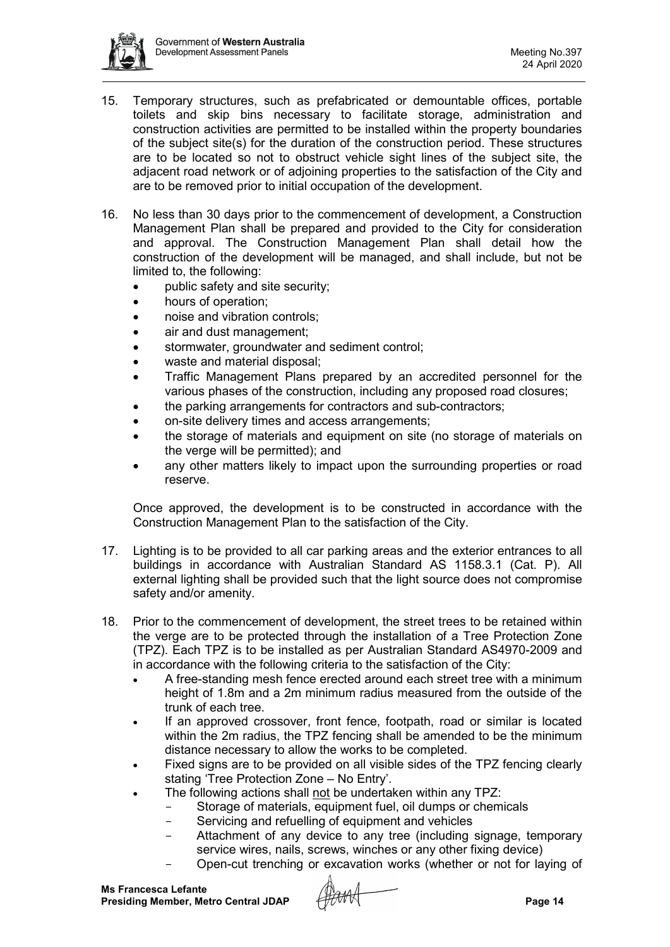

- 15. Temporary structures, such as prefabricated or demountable offices, portable toilets and skip bins necessary to facilitate storage, administration and construction activities are permitted to be installed within the property boundaries of the subject site(s) for the duration of the construction period. These structures are to be located so not to obstruct vehicle sight lines of the subject site, the adjacent road network or of adjoining properties to the satisfaction of the City and are to be removed prior to initial occupation of the development.
- 16. No less than 30 days prior to the commencement of development, a Construction Management Plan shall be prepared and provided to the City for consideration and approval. The Construction Management Plan shall detail how the construction of the development will be managed, and shall include, but not be limited to, the following:
	- public safety and site security;
	- hours of operation;
	- noise and vibration controls:
	- air and dust management:
	- stormwater, groundwater and sediment control;
	- waste and material disposal;
	- Traffic Management Plans prepared by an accredited personnel for the various phases of the construction, including any proposed road closures;
	- the parking arrangements for contractors and sub-contractors;
	- on-site delivery times and access arrangements;
	- the storage of materials and equipment on site (no storage of materials on the verge will be permitted); and
	- any other matters likely to impact upon the surrounding properties or road reserve.

Once approved, the development is to be constructed in accordance with the Construction Management Plan to the satisfaction of the City.

- 17. Lighting is to be provided to all car parking areas and the exterior entrances to all buildings in accordance with Australian Standard AS 1158.3.1 (Cat. P). All external lighting shall be provided such that the light source does not compromise safety and/or amenity.
- 18. Prior to the commencement of development, the street trees to be retained within the verge are to be protected through the installation of a Tree Protection Zone (TPZ). Each TPZ is to be installed as per Australian Standard AS4970-2009 and in accordance with the following criteria to the satisfaction of the City:
	- A free-standing mesh fence erected around each street tree with a minimum height of 1.8m and a 2m minimum radius measured from the outside of the trunk of each tree.
	- If an approved crossover, front fence, footpath, road or similar is located within the 2m radius, the TPZ fencing shall be amended to be the minimum distance necessary to allow the works to be completed.
	- Fixed signs are to be provided on all visible sides of the TPZ fencing clearly stating 'Tree Protection Zone – No Entry'.
	- The following actions shall not be undertaken within any TPZ:
		- Storage of materials, equipment fuel, oil dumps or chemicals
			- Servicing and refuelling of equipment and vehicles
		- Attachment of any device to any tree (including signage, temporary service wires, nails, screws, winches or any other fixing device)
		- Open-cut trenching or excavation works (whether or not for laying of

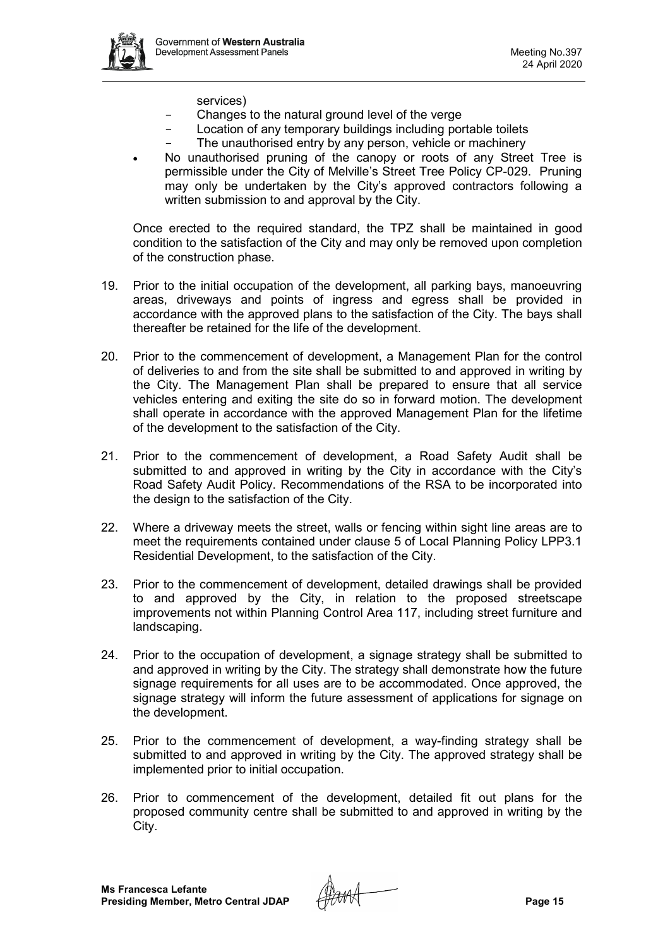

- services)
- Changes to the natural ground level of the verge<br>- Location of any temporary buildings including por
- Location of any temporary buildings including portable toilets
- The unauthorised entry by any person, vehicle or machinery
- No unauthorised pruning of the canopy or roots of any Street Tree is permissible under the City of Melville's Street Tree Policy CP-029. Pruning may only be undertaken by the City's approved contractors following a written submission to and approval by the City.

Once erected to the required standard, the TPZ shall be maintained in good condition to the satisfaction of the City and may only be removed upon completion of the construction phase.

- 19. Prior to the initial occupation of the development, all parking bays, manoeuvring areas, driveways and points of ingress and egress shall be provided in accordance with the approved plans to the satisfaction of the City. The bays shall thereafter be retained for the life of the development.
- 20. Prior to the commencement of development, a Management Plan for the control of deliveries to and from the site shall be submitted to and approved in writing by the City. The Management Plan shall be prepared to ensure that all service vehicles entering and exiting the site do so in forward motion. The development shall operate in accordance with the approved Management Plan for the lifetime of the development to the satisfaction of the City.
- 21. Prior to the commencement of development, a Road Safety Audit shall be submitted to and approved in writing by the City in accordance with the City's Road Safety Audit Policy. Recommendations of the RSA to be incorporated into the design to the satisfaction of the City.
- 22. Where a driveway meets the street, walls or fencing within sight line areas are to meet the requirements contained under clause 5 of Local Planning Policy LPP3.1 Residential Development, to the satisfaction of the City.
- 23. Prior to the commencement of development, detailed drawings shall be provided to and approved by the City, in relation to the proposed streetscape improvements not within Planning Control Area 117, including street furniture and landscaping.
- 24. Prior to the occupation of development, a signage strategy shall be submitted to and approved in writing by the City. The strategy shall demonstrate how the future signage requirements for all uses are to be accommodated. Once approved, the signage strategy will inform the future assessment of applications for signage on the development.
- 25. Prior to the commencement of development, a way-finding strategy shall be submitted to and approved in writing by the City. The approved strategy shall be implemented prior to initial occupation.
- 26. Prior to commencement of the development, detailed fit out plans for the proposed community centre shall be submitted to and approved in writing by the City.

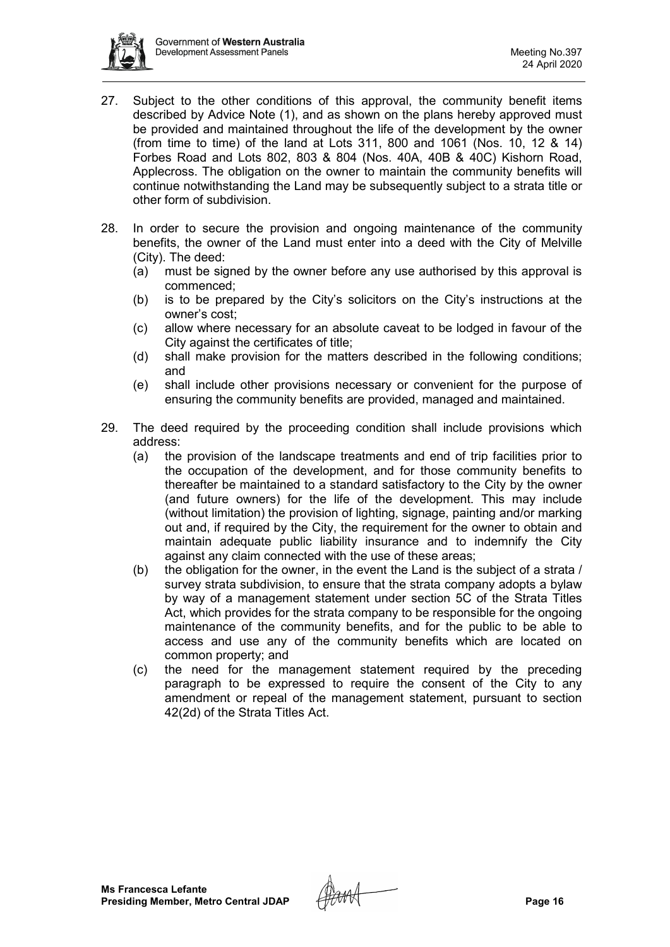

- 27. Subject to the other conditions of this approval, the community benefit items described by Advice Note (1), and as shown on the plans hereby approved must be provided and maintained throughout the life of the development by the owner (from time to time) of the land at Lots 311, 800 and 1061 (Nos. 10, 12 & 14) Forbes Road and Lots 802, 803 & 804 (Nos. 40A, 40B & 40C) Kishorn Road, Applecross. The obligation on the owner to maintain the community benefits will continue notwithstanding the Land may be subsequently subject to a strata title or other form of subdivision.
- 28. In order to secure the provision and ongoing maintenance of the community benefits, the owner of the Land must enter into a deed with the City of Melville (City). The deed:
	- (a) must be signed by the owner before any use authorised by this approval is commenced;
	- (b) is to be prepared by the City's solicitors on the City's instructions at the owner's cost;
	- (c) allow where necessary for an absolute caveat to be lodged in favour of the City against the certificates of title;
	- (d) shall make provision for the matters described in the following conditions; and
	- (e) shall include other provisions necessary or convenient for the purpose of ensuring the community benefits are provided, managed and maintained.
- 29. The deed required by the proceeding condition shall include provisions which address:
	- (a) the provision of the landscape treatments and end of trip facilities prior to the occupation of the development, and for those community benefits to thereafter be maintained to a standard satisfactory to the City by the owner (and future owners) for the life of the development. This may include (without limitation) the provision of lighting, signage, painting and/or marking out and, if required by the City, the requirement for the owner to obtain and maintain adequate public liability insurance and to indemnify the City against any claim connected with the use of these areas;
	- (b) the obligation for the owner, in the event the Land is the subject of a strata / survey strata subdivision, to ensure that the strata company adopts a bylaw by way of a management statement under section 5C of the Strata Titles Act, which provides for the strata company to be responsible for the ongoing maintenance of the community benefits, and for the public to be able to access and use any of the community benefits which are located on common property; and
	- (c) the need for the management statement required by the preceding paragraph to be expressed to require the consent of the City to any amendment or repeal of the management statement, pursuant to section 42(2d) of the Strata Titles Act.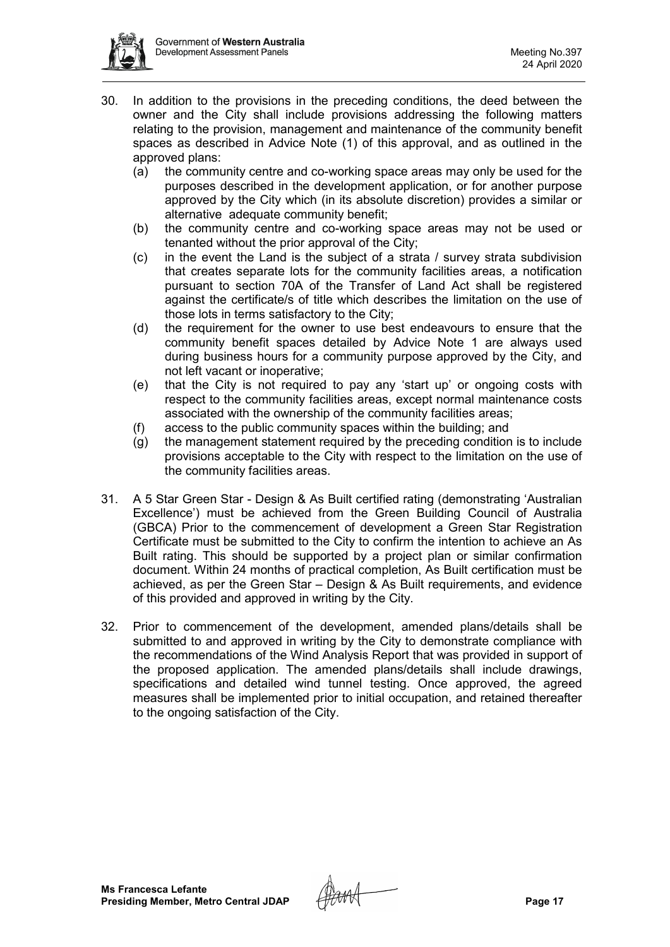

- 30. In addition to the provisions in the preceding conditions, the deed between the owner and the City shall include provisions addressing the following matters relating to the provision, management and maintenance of the community benefit spaces as described in Advice Note (1) of this approval, and as outlined in the approved plans:
	- (a) the community centre and co-working space areas may only be used for the purposes described in the development application, or for another purpose approved by the City which (in its absolute discretion) provides a similar or alternative adequate community benefit;
	- (b) the community centre and co-working space areas may not be used or tenanted without the prior approval of the City;
	- (c) in the event the Land is the subject of a strata / survey strata subdivision that creates separate lots for the community facilities areas, a notification pursuant to section 70A of the Transfer of Land Act shall be registered against the certificate/s of title which describes the limitation on the use of those lots in terms satisfactory to the City;
	- (d) the requirement for the owner to use best endeavours to ensure that the community benefit spaces detailed by Advice Note 1 are always used during business hours for a community purpose approved by the City, and not left vacant or inoperative;
	- (e) that the City is not required to pay any 'start up' or ongoing costs with respect to the community facilities areas, except normal maintenance costs associated with the ownership of the community facilities areas;
	- (f) access to the public community spaces within the building; and
	- (g) the management statement required by the preceding condition is to include provisions acceptable to the City with respect to the limitation on the use of the community facilities areas.
- 31. A 5 Star Green Star Design & As Built certified rating (demonstrating 'Australian Excellence') must be achieved from the Green Building Council of Australia (GBCA) Prior to the commencement of development a Green Star Registration Certificate must be submitted to the City to confirm the intention to achieve an As Built rating. This should be supported by a project plan or similar confirmation document. Within 24 months of practical completion, As Built certification must be achieved, as per the Green Star – Design & As Built requirements, and evidence of this provided and approved in writing by the City.
- 32. Prior to commencement of the development, amended plans/details shall be submitted to and approved in writing by the City to demonstrate compliance with the recommendations of the Wind Analysis Report that was provided in support of the proposed application. The amended plans/details shall include drawings, specifications and detailed wind tunnel testing. Once approved, the agreed measures shall be implemented prior to initial occupation, and retained thereafter to the ongoing satisfaction of the City.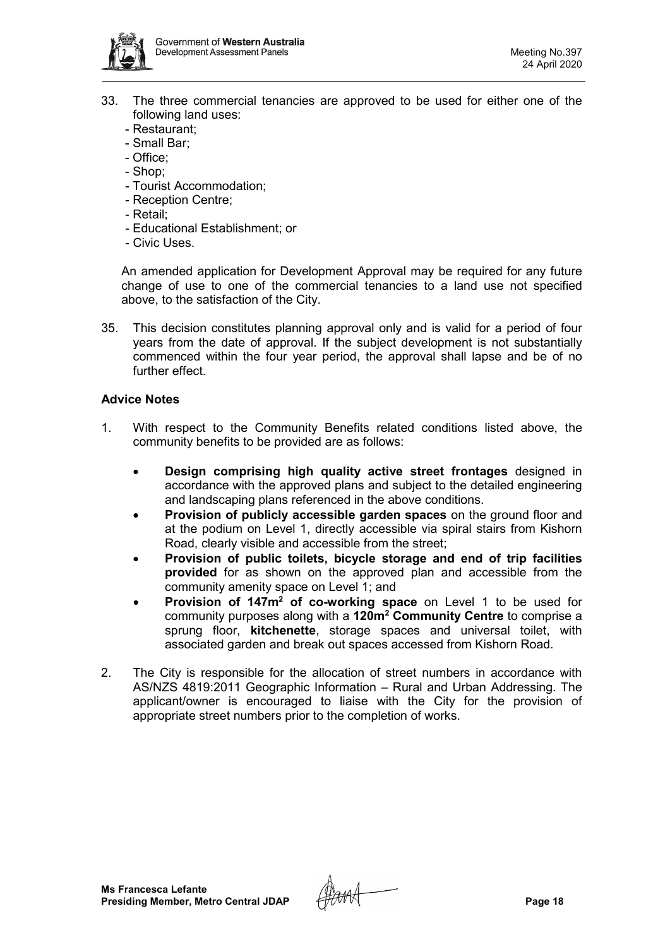

- 33. The three commercial tenancies are approved to be used for either one of the following land uses:
	- Restaurant;
	- Small Bar;
	- Office;
	- Shop;
	- Tourist Accommodation;
	- Reception Centre;
	- Retail;
	- Educational Establishment; or
	- Civic Uses.

An amended application for Development Approval may be required for any future change of use to one of the commercial tenancies to a land use not specified above, to the satisfaction of the City.

35. This decision constitutes planning approval only and is valid for a period of four years from the date of approval. If the subject development is not substantially commenced within the four year period, the approval shall lapse and be of no further effect.

# **Advice Notes**

- 1. With respect to the Community Benefits related conditions listed above, the community benefits to be provided are as follows:
	- **Design comprising high quality active street frontages** designed in accordance with the approved plans and subject to the detailed engineering and landscaping plans referenced in the above conditions.
	- **Provision of publicly accessible garden spaces** on the ground floor and at the podium on Level 1, directly accessible via spiral stairs from Kishorn Road, clearly visible and accessible from the street;
	- **Provision of public toilets, bicycle storage and end of trip facilities provided** for as shown on the approved plan and accessible from the community amenity space on Level 1; and
	- **Provision of 147m<sup>2</sup> of co-working space** on Level 1 to be used for community purposes along with a **120m2 Community Centre** to comprise a sprung floor, **kitchenette**, storage spaces and universal toilet, with associated garden and break out spaces accessed from Kishorn Road.
- 2. The City is responsible for the allocation of street numbers in accordance with AS/NZS 4819:2011 Geographic Information – Rural and Urban Addressing. The applicant/owner is encouraged to liaise with the City for the provision of appropriate street numbers prior to the completion of works.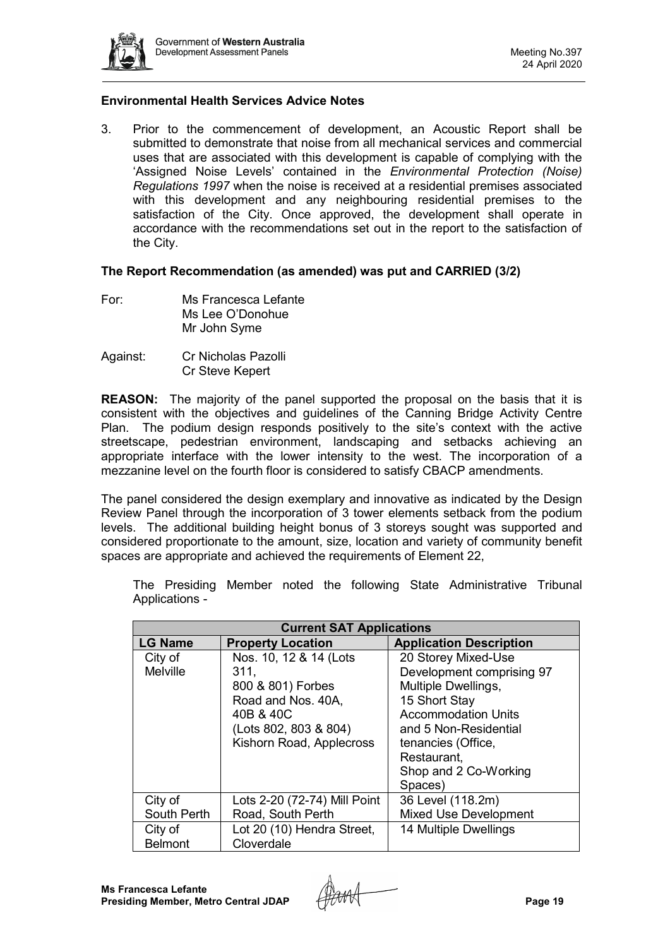

## **Environmental Health Services Advice Notes**

3. Prior to the commencement of development, an Acoustic Report shall be submitted to demonstrate that noise from all mechanical services and commercial uses that are associated with this development is capable of complying with the 'Assigned Noise Levels' contained in the *Environmental Protection (Noise) Regulations 1997* when the noise is received at a residential premises associated with this development and any neighbouring residential premises to the satisfaction of the City. Once approved, the development shall operate in accordance with the recommendations set out in the report to the satisfaction of the City.

#### **The Report Recommendation (as amended) was put and CARRIED (3/2)**

- For: Ms Francesca Lefante Ms Lee O'Donohue Mr John Syme
- Against: Cr Nicholas Pazolli Cr Steve Kepert

**REASON:** The majority of the panel supported the proposal on the basis that it is consistent with the objectives and guidelines of the Canning Bridge Activity Centre Plan. The podium design responds positively to the site's context with the active streetscape, pedestrian environment, landscaping and setbacks achieving an appropriate interface with the lower intensity to the west. The incorporation of a mezzanine level on the fourth floor is considered to satisfy CBACP amendments.

The panel considered the design exemplary and innovative as indicated by the Design Review Panel through the incorporation of 3 tower elements setback from the podium levels. The additional building height bonus of 3 storeys sought was supported and considered proportionate to the amount, size, location and variety of community benefit spaces are appropriate and achieved the requirements of Element 22,

| <b>Current SAT Applications</b>       |                              |                                |  |  |
|---------------------------------------|------------------------------|--------------------------------|--|--|
| <b>LG Name</b>                        | <b>Property Location</b>     | <b>Application Description</b> |  |  |
| City of                               | Nos. 10, 12 & 14 (Lots       | 20 Storey Mixed-Use            |  |  |
| <b>Melville</b>                       | 311.                         | Development comprising 97      |  |  |
|                                       | 800 & 801) Forbes            | Multiple Dwellings,            |  |  |
|                                       | Road and Nos. 40A,           | 15 Short Stay                  |  |  |
|                                       | 40B & 40C                    | <b>Accommodation Units</b>     |  |  |
|                                       | (Lots 802, 803 & 804)        | and 5 Non-Residential          |  |  |
|                                       | Kishorn Road, Applecross     | tenancies (Office,             |  |  |
|                                       |                              | Restaurant,                    |  |  |
|                                       |                              | Shop and 2 Co-Working          |  |  |
|                                       |                              | Spaces)                        |  |  |
| City of                               | Lots 2-20 (72-74) Mill Point | 36 Level (118.2m)              |  |  |
| South Perth                           | Road, South Perth            | <b>Mixed Use Development</b>   |  |  |
| Lot 20 (10) Hendra Street,<br>City of |                              | 14 Multiple Dwellings          |  |  |
| <b>Belmont</b>                        | Cloverdale                   |                                |  |  |

The Presiding Member noted the following State Administrative Tribunal Applications -